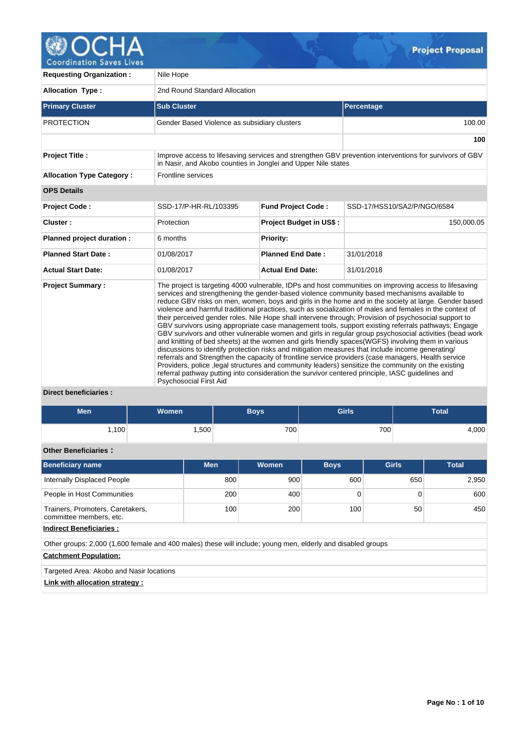

| <b>Requesting Organization:</b>                                     | Nile Hope                                                     |                                |                                                                                                                                                                                                                                                                                                                                                                                                                                                                                                                                                                                                                                                                                                                                                                                                                                                                                                                                                                                                                                                                                                                                                                                                                                                                                 |  |  |  |  |  |  |  |
|---------------------------------------------------------------------|---------------------------------------------------------------|--------------------------------|---------------------------------------------------------------------------------------------------------------------------------------------------------------------------------------------------------------------------------------------------------------------------------------------------------------------------------------------------------------------------------------------------------------------------------------------------------------------------------------------------------------------------------------------------------------------------------------------------------------------------------------------------------------------------------------------------------------------------------------------------------------------------------------------------------------------------------------------------------------------------------------------------------------------------------------------------------------------------------------------------------------------------------------------------------------------------------------------------------------------------------------------------------------------------------------------------------------------------------------------------------------------------------|--|--|--|--|--|--|--|
| <b>Allocation Type:</b>                                             | 2nd Round Standard Allocation                                 |                                |                                                                                                                                                                                                                                                                                                                                                                                                                                                                                                                                                                                                                                                                                                                                                                                                                                                                                                                                                                                                                                                                                                                                                                                                                                                                                 |  |  |  |  |  |  |  |
| <b>Primary Cluster</b>                                              | <b>Sub Cluster</b>                                            |                                | Percentage                                                                                                                                                                                                                                                                                                                                                                                                                                                                                                                                                                                                                                                                                                                                                                                                                                                                                                                                                                                                                                                                                                                                                                                                                                                                      |  |  |  |  |  |  |  |
| <b>PROTECTION</b>                                                   | Gender Based Violence as subsidiary clusters                  |                                | 100.00                                                                                                                                                                                                                                                                                                                                                                                                                                                                                                                                                                                                                                                                                                                                                                                                                                                                                                                                                                                                                                                                                                                                                                                                                                                                          |  |  |  |  |  |  |  |
|                                                                     |                                                               |                                | 100                                                                                                                                                                                                                                                                                                                                                                                                                                                                                                                                                                                                                                                                                                                                                                                                                                                                                                                                                                                                                                                                                                                                                                                                                                                                             |  |  |  |  |  |  |  |
| <b>Project Title:</b>                                               | in Nasir, and Akobo counties in Jonglei and Upper Nile states |                                | Improve access to lifesaving services and strengthen GBV prevention interventions for survivors of GBV                                                                                                                                                                                                                                                                                                                                                                                                                                                                                                                                                                                                                                                                                                                                                                                                                                                                                                                                                                                                                                                                                                                                                                          |  |  |  |  |  |  |  |
| <b>Allocation Type Category:</b>                                    | Frontline services                                            |                                |                                                                                                                                                                                                                                                                                                                                                                                                                                                                                                                                                                                                                                                                                                                                                                                                                                                                                                                                                                                                                                                                                                                                                                                                                                                                                 |  |  |  |  |  |  |  |
| <b>OPS Details</b>                                                  |                                                               |                                |                                                                                                                                                                                                                                                                                                                                                                                                                                                                                                                                                                                                                                                                                                                                                                                                                                                                                                                                                                                                                                                                                                                                                                                                                                                                                 |  |  |  |  |  |  |  |
| <b>Project Code:</b>                                                | SSD-17/P-HR-RL/103395                                         | <b>Fund Project Code:</b>      | SSD-17/HSS10/SA2/P/NGO/6584                                                                                                                                                                                                                                                                                                                                                                                                                                                                                                                                                                                                                                                                                                                                                                                                                                                                                                                                                                                                                                                                                                                                                                                                                                                     |  |  |  |  |  |  |  |
| Cluster:                                                            | Protection                                                    | <b>Project Budget in US\$:</b> | 150,000.05                                                                                                                                                                                                                                                                                                                                                                                                                                                                                                                                                                                                                                                                                                                                                                                                                                                                                                                                                                                                                                                                                                                                                                                                                                                                      |  |  |  |  |  |  |  |
| Planned project duration :                                          | 6 months                                                      | Priority:                      |                                                                                                                                                                                                                                                                                                                                                                                                                                                                                                                                                                                                                                                                                                                                                                                                                                                                                                                                                                                                                                                                                                                                                                                                                                                                                 |  |  |  |  |  |  |  |
| <b>Planned Start Date:</b>                                          | 01/08/2017                                                    | <b>Planned End Date:</b>       | 31/01/2018                                                                                                                                                                                                                                                                                                                                                                                                                                                                                                                                                                                                                                                                                                                                                                                                                                                                                                                                                                                                                                                                                                                                                                                                                                                                      |  |  |  |  |  |  |  |
| <b>Actual Start Date:</b>                                           | 01/08/2017                                                    | <b>Actual End Date:</b>        | 31/01/2018                                                                                                                                                                                                                                                                                                                                                                                                                                                                                                                                                                                                                                                                                                                                                                                                                                                                                                                                                                                                                                                                                                                                                                                                                                                                      |  |  |  |  |  |  |  |
| <b>Project Summary:</b><br>National and the contract of the formula | <b>Psychosocial First Aid</b>                                 |                                | The project is targeting 4000 vulnerable, IDPs and host communities on improving access to lifesaving<br>services and strengthening the gender-based violence community based mechanisms available to<br>reduce GBV risks on men, women, boys and girls in the home and in the society at large. Gender based<br>violence and harmful traditional practices, such as socialization of males and females in the context of<br>their perceived gender roles. Nile Hope shall intervene through; Provision of psychosocial support to<br>GBV survivors using appropriate case management tools, support existing referrals pathways; Engage<br>GBV survivors and other vulnerable women and girls in regular group psychosocial activities (bead work<br>and knitting of bed sheets) at the women and girls friendly spaces (WGFS) involving them in various<br>discussions to identify protection risks and mitigation measures that include income generating/<br>referrals and Strengthen the capacity of frontline service providers (case managers, Health service<br>Providers, police , legal structures and community leaders) sensitize the community on the existing<br>referral pathway putting into consideration the survivor centered principle, IASC guidelines and |  |  |  |  |  |  |  |

# **Direct beneficiaries :**

| <b>Men</b>                                                                                                  | <b>Women</b>                    |            |     | <b>Boys</b>  | <b>Girls</b> |     |              | <b>Total</b> |  |  |
|-------------------------------------------------------------------------------------------------------------|---------------------------------|------------|-----|--------------|--------------|-----|--------------|--------------|--|--|
| 1,100                                                                                                       |                                 | 1,500      |     | 700          |              | 700 |              | 4,000        |  |  |
| <b>Other Beneficiaries:</b>                                                                                 |                                 |            |     |              |              |     |              |              |  |  |
| <b>Beneficiary name</b>                                                                                     |                                 | <b>Men</b> |     | <b>Women</b> | <b>Boys</b>  |     | <b>Girls</b> | <b>Total</b> |  |  |
| Internally Displaced People                                                                                 |                                 |            | 800 | 900          | 600          |     | 650          |              |  |  |
| People in Host Communities                                                                                  |                                 |            | 200 | 400          | $\mathbf 0$  |     | $\Omega$     | 600          |  |  |
| Trainers, Promoters, Caretakers,<br>committee members, etc.                                                 |                                 |            | 100 | 200          | 100          |     | 50           | 450          |  |  |
| <b>Indirect Beneficiaries:</b>                                                                              |                                 |            |     |              |              |     |              |              |  |  |
| Other groups: 2,000 (1,600 female and 400 males) these will include; young men, elderly and disabled groups |                                 |            |     |              |              |     |              |              |  |  |
| <b>Catchment Population:</b>                                                                                |                                 |            |     |              |              |     |              |              |  |  |
| Targeted Area: Akobo and Nasir locations                                                                    |                                 |            |     |              |              |     |              |              |  |  |
|                                                                                                             | Link with allocation strategy : |            |     |              |              |     |              |              |  |  |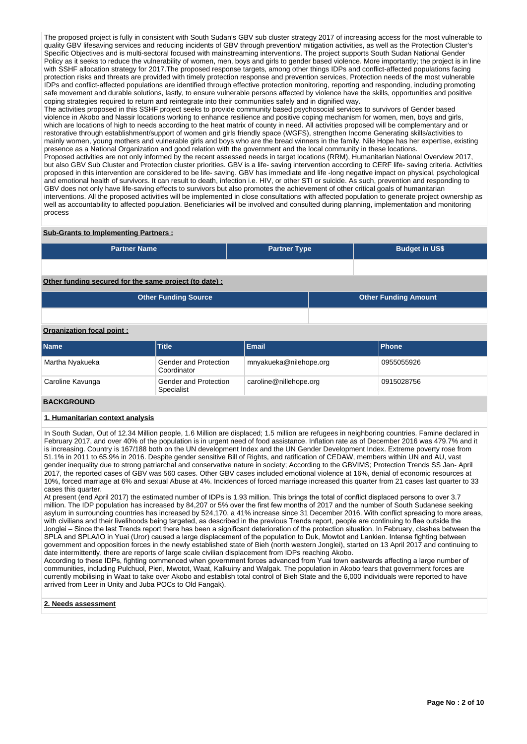The proposed project is fully in consistent with South Sudan's GBV sub cluster strategy 2017 of increasing access for the most vulnerable to quality GBV lifesaving services and reducing incidents of GBV through prevention/ mitigation activities, as well as the Protection Cluster's Specific Objectives and is multi-sectoral focused with mainstreaming interventions. The project supports South Sudan National Gender Policy as it seeks to reduce the vulnerability of women, men, boys and girls to gender based violence. More importantly; the project is in line with SSHF allocation strategy for 2017.The proposed response targets, among other things IDPs and conflict-affected populations facing protection risks and threats are provided with timely protection response and prevention services, Protection needs of the most vulnerable IDPs and conflict-affected populations are identified through effective protection monitoring, reporting and responding, including promoting safe movement and durable solutions, lastly, to ensure vulnerable persons affected by violence have the skills, opportunities and positive coping strategies required to return and reintegrate into their communities safely and in dignified way.

The activities proposed in this SSHF project seeks to provide community based psychosocial services to survivors of Gender based violence in Akobo and Nassir locations working to enhance resilience and positive coping mechanism for women, men, boys and girls, which are locations of high to needs according to the heat matrix of county in need. All activities proposed will be complementary and or restorative through establishment/support of women and girls friendly space (WGFS), strengthen Income Generating skills/activities to mainly women, young mothers and vulnerable girls and boys who are the bread winners in the family. Nile Hope has her expertise, existing presence as a National Organization and good relation with the government and the local community in these locations. Proposed activities are not only informed by the recent assessed needs in target locations (RRM), Humanitarian National Overview 2017, but also GBV Sub Cluster and Protection cluster priorities. GBV is a life- saving intervention according to CERF life- saving criteria. Activities proposed in this intervention are considered to be life- saving. GBV has immediate and life -long negative impact on physical, psychological and emotional health of survivors. It can result to death, infection i.e. HIV, or other STI or suicide. As such, prevention and responding to GBV does not only have life-saving effects to survivors but also promotes the achievement of other critical goals of humanitarian interventions. All the proposed activities will be implemented in close consultations with affected population to generate project ownership as well as accountability to affected population. Beneficiaries will be involved and consulted during planning, implementation and monitoring process

#### **Sub-Grants to Implementing Partners :**

| <b>Partner Name</b>                                   | <b>Partner Type</b> | <b>Budget in US\$</b>       |
|-------------------------------------------------------|---------------------|-----------------------------|
|                                                       |                     |                             |
| Other funding secured for the same project (to date): |                     |                             |
| <b>Other Funding Source</b>                           |                     | <b>Other Funding Amount</b> |

# **Organization focal point :**

| <b>Name</b>      | <b>Title</b>                         | <b>Email</b>           | <b>Phone</b> |
|------------------|--------------------------------------|------------------------|--------------|
| Martha Nyakueka  | Gender and Protection<br>Coordinator | mnyakueka@nilehope.org | 0955055926   |
| Caroline Kavunga | Gender and Protection<br>Specialist  | caroline@nillehope.org | 0915028756   |
|                  |                                      |                        |              |

#### **BACKGROUND**

#### **1. Humanitarian context analysis**

In South Sudan, Out of 12.34 Million people, 1.6 Million are displaced; 1.5 million are refugees in neighboring countries. Famine declared in February 2017, and over 40% of the population is in urgent need of food assistance. Inflation rate as of December 2016 was 479.7% and it is increasing. Country is 167/188 both on the UN development Index and the UN Gender Development Index. Extreme poverty rose from 51.1% in 2011 to 65.9% in 2016. Despite gender sensitive Bill of Rights, and ratification of CEDAW, members within UN and AU, vast gender inequality due to strong patriarchal and conservative nature in society; According to the GBVIMS; Protection Trends SS Jan- April 2017, the reported cases of GBV was 560 cases. Other GBV cases included emotional violence at 16%, denial of economic resources at 10%, forced marriage at 6% and sexual Abuse at 4%. Incidences of forced marriage increased this quarter from 21 cases last quarter to 33 cases this quarter.

At present (end April 2017) the estimated number of IDPs is 1.93 million. This brings the total of conflict displaced persons to over 3.7 million. The IDP population has increased by 84,207 or 5% over the first few months of 2017 and the number of South Sudanese seeking asylum in surrounding countries has increased by 524,170, a 41% increase since 31 December 2016. With conflict spreading to more areas, with civilians and their livelihoods being targeted, as described in the previous Trends report, people are continuing to flee outside the Jonglei - Since the last Trends report there has been a significant deterioration of the protection situation. In February, clashes between the SPLA and SPLA/IO in Yuai (Uror) caused a large displacement of the population to Duk, Mowtot and Lankien. Intense fighting between government and opposition forces in the newly established state of Bieh (north western Jonglei), started on 13 April 2017 and continuing to date intermittently, there are reports of large scale civilian displacement from IDPs reaching Akobo.

According to these IDPs, fighting commenced when government forces advanced from Yuai town eastwards affecting a large number of communities, including Pulchuol, Pieri, Mwotot, Waat, Kalkuiny and Walgak. The population in Akobo fears that government forces are currently mobilising in Waat to take over Akobo and establish total control of Bieh State and the 6,000 individuals were reported to have arrived from Leer in Unity and Juba POCs to Old Fangak).

# **2. Needs assessment**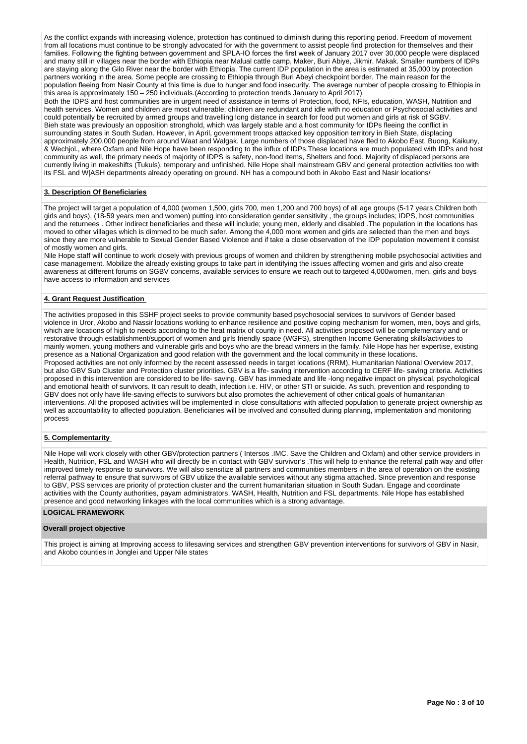As the conflict expands with increasing violence, protection has continued to diminish during this reporting period. Freedom of movement from all locations must continue to be strongly advocated for with the government to assist people find protection for themselves and their International Community of the Community of the Community of the Community of the first week of January 2017 over 30,000 people were displaced families. Following the fighting between government and SPLA-IO forces the firs and many still in villages near the border with Ethiopia near Malual cattle camp, Maker, Buri Abiye, Jikmir, Makak. Smaller numbers of IDPs are staying along the Gilo River near the border with Ethiopia. The current IDP population in the area is estimated at 35,000 by protection partners working in the area. Some people are crossing to Ethiopia through Buri Abeyi checkpoint border. The main reason for the population fleeing from Nasir County at this time is due to hunger and food insecurity. The average number of people crossing to Ethiopia in this area is approximately 150 – 250 individuals.(According to protection trends January to April 2017)

Both the IDPS and host communities are in urgent need of assistance in terms of Protection, food, NFIs, education, WASH, Nutrition and health services. Women and children are most vulnerable; children are redundant and idle with no education or Psychosocial activities and could potentially be recruited by armed groups and travelling long distance in search for food put women and girls at risk of SGBV. Bieh state was previously an opposition stronghold, which was largely stable and a host community for IDPs fleeing the conflict in surrounding states in South Sudan. However, in April, government troops attacked key opposition territory in Bieh State, displacing approximately 200,000 people from around Waat and Walgak. Large numbers of those displaced have fled to Akobo East, Buong, Kaikuny, & Wechjol., where Oxfam and Nile Hope have been responding to the influx of IDPs.These locations are much populated with IDPs and host community as well, the primary needs of majority of IDPS is safety, non-food Items, Shelters and food. Majority of displaced persons are currently living in makeshifts (Tukuls), temporary and unfinished. Nile Hope shall mainstream GBV and general protection activities too with its FSL and W|ASH departments already operating on ground. NH has a compound both in Akobo East and Nasir locations/

#### **3. Description Of Beneficiaries**

The project will target a population of 4,000 (women 1,500, girls 700, men 1,200 and 700 boys) of all age groups (5-17 years Children both girls and boys), (18-59 years men and women) putting into consideration gender sensitivity , the groups includes; IDPS, host communities and the returnees . Other indirect beneficiaries and these will include; young men, elderly and disabled .The population in the locations has moved to other villages which is dimmed to be much safer. Among the 4,000 more women and girls are selected than the men and boys since they are more vulnerable to Sexual Gender Based Violence and if take a close observation of the IDP population movement it consist of mostly women and girls.

Nile Hope staff will continue to work closely with previous groups of women and children by strengthening mobile psychosocial activities and case management. Mobilize the already existing groups to take part in identifying the issues affecting women and girls and also create awareness at different forums on SGBV concerns, available services to ensure we reach out to targeted 4,000women, men, girls and boys have access to information and services

#### **4. Grant Request Justification**

The activities proposed in this SSHF project seeks to provide community based psychosocial services to survivors of Gender based violence in Uror, Akobo and Nassir locations working to enhance resilience and positive coping mechanism for women, men, boys and girls, which are locations of high to needs according to the heat matrix of county in need. All activities proposed will be complementary and or restorative through establishment/support of women and girls friendly space (WGFS), strengthen Income Generating skills/activities to mainly women, young mothers and vulnerable girls and boys who are the bread winners in the family. Nile Hope has her expertise, existing presence as a National Organization and good relation with the government and the local community in these locations. Proposed activities are not only informed by the recent assessed needs in target locations (RRM), Humanitarian National Overview 2017, but also GBV Sub Cluster and Protection cluster priorities. GBV is a life- saving intervention according to CERF life- saving criteria. Activities proposed in this intervention are considered to be life- saving. GBV has immediate and life -long negative impact on physical, psychological and emotional health of survivors. It can result to death, infection i.e. HIV, or other STI or suicide. As such, prevention and responding to GBV does not only have life-saving effects to survivors but also promotes the achievement of other critical goals of humanitarian interventions. All the proposed activities will be implemented in close consultations with affected population to generate project ownership as well as accountability to affected population. Beneficiaries will be involved and consulted during planning, implementation and monitoring process

#### **5. Complementarity**

Nile Hope will work closely with other GBV/protection partners ( Intersos .IMC. Save the Children and Oxfam) and other service providers in Health, Nutrition, FSL and WASH who will directly be in contact with GBV survivor's .This will help to enhance the referral path way and offer improved timely response to survivors. We will also sensitize all partners and communities members in the area of operation on the existing referral pathway to ensure that survivors of GBV utilize the available services without any stigma attached. Since prevention and response to GBV, PSS services are priority of protection cluster and the current humanitarian situation in South Sudan. Engage and coordinate activities with the County authorities, payam administrators, WASH, Health, Nutrition and FSL departments. Nile Hope has established presence and good networking linkages with the local communities which is a strong advantage.

#### **LOGICAL FRAMEWORK**

#### **Overall project objective**

This project is aiming at Improving access to lifesaving services and strengthen GBV prevention interventions for survivors of GBV in Nasir, and Akobo counties in Jonglei and Upper Nile states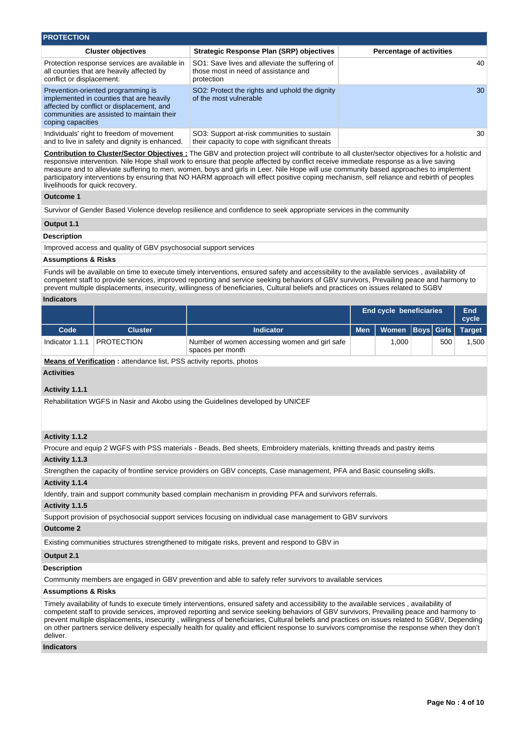| <b>PROTECTION</b>                                                                                                                                                                              |                                                                                                      |                                 |
|------------------------------------------------------------------------------------------------------------------------------------------------------------------------------------------------|------------------------------------------------------------------------------------------------------|---------------------------------|
| <b>Cluster objectives</b>                                                                                                                                                                      | Strategic Response Plan (SRP) objectives                                                             | <b>Percentage of activities</b> |
| Protection response services are available in<br>all counties that are heavily affected by<br>conflict or displacement.                                                                        | SO1: Save lives and alleviate the suffering of<br>those most in need of assistance and<br>protection | 40                              |
| Prevention-oriented programming is<br>implemented in counties that are heavily<br>affected by conflict or displacement, and<br>communities are assisted to maintain their<br>coping capacities | SO2: Protect the rights and uphold the dignity<br>of the most vulnerable                             | 30                              |
| Individuals' right to freedom of movement<br>and to live in safety and dignity is enhanced.                                                                                                    | SO3: Support at-risk communities to sustain<br>their capacity to cope with significant threats       | 30                              |

**Contribution to Cluster/Sector Objectives :** The GBV and protection project will contribute to all cluster/sector objectives for a holistic and responsive intervention. Nile Hope shall work to ensure that people affected by conflict receive immediate response as a live saving measure and to alleviate suffering to men, women, boys and girls in Leer. Nile Hope will use community based approaches to implement participatory interventions by ensuring that NO HARM approach will effect positive coping mechanism, self reliance and rebirth of peoples livelihoods for quick recovery.

#### **Outcome 1**

Survivor of Gender Based Violence develop resilience and confidence to seek appropriate services in the community

# **Output 1.1**

#### **Description**

Improved access and quality of GBV psychosocial support services

#### **Assumptions & Risks**

Funds will be available on time to execute timely interventions, ensured safety and accessibility to the available services , availability of competent staff to provide services, improved reporting and service seeking behaviors of GBV survivors, Prevailing peace and harmony to prevent multiple displacements, insecurity, willingness of beneficiaries, Cultural beliefs and practices on issues related to SGBV

#### **Indicators**

|                 |                   |                                                                   |            | <b>End cycle beneficiaries</b> |     | End<br>cycle |
|-----------------|-------------------|-------------------------------------------------------------------|------------|--------------------------------|-----|--------------|
| Code            | <b>Cluster</b>    | <b>Indicator</b>                                                  | <b>Men</b> | Women Boys Girls Target        |     |              |
| Indicator 1.1.1 | <b>PROTECTION</b> | Number of women accessing women and girl safe<br>spaces per month |            | 0.000                          | 500 | ,500         |

**Means of Verification :** attendance list, PSS activity reports, photos

**Activities**

# **Activity 1.1.1**

Rehabilitation WGFS in Nasir and Akobo using the Guidelines developed by UNICEF

# **Activity 1.1.2**

Procure and equip 2 WGFS with PSS materials - Beads, Bed sheets, Embroidery materials, knitting threads and pastry items

#### **Activity 1.1.3**

Strengthen the capacity of frontline service providers on GBV concepts, Case management, PFA and Basic counseling skills.

#### **Activity 1.1.4**

Identify, train and support community based complain mechanism in providing PFA and survivors referrals.

#### **Activity 1.1.5**

Support provision of psychosocial support services focusing on individual case management to GBV survivors

# **Outcome 2**

Existing communities structures strengthened to mitigate risks, prevent and respond to GBV in

# **Output 2.1**

# **Description**

Community members are engaged in GBV prevention and able to safely refer survivors to available services

# **Assumptions & Risks**

Timely availability of funds to execute timely interventions, ensured safety and accessibility to the available services , availability of competent staff to provide services, improved reporting and service seeking behaviors of GBV survivors, Prevailing peace and harmony to prevent multiple displacements, insecurity , willingness of beneficiaries, Cultural beliefs and practices on issues related to SGBV, Depending on other partners service delivery especially health for quality and efficient response to survivors compromise the response when they don't deliver.

#### **Indicators**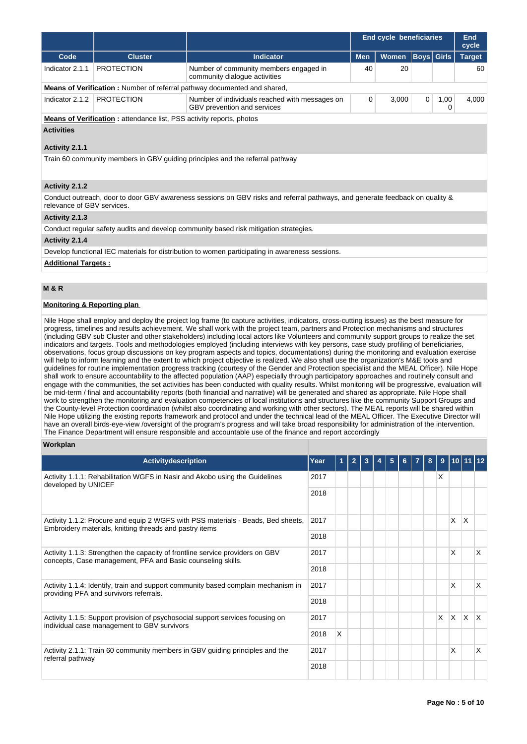|                            |                                                                             |                                                                                                                              |            | <b>End cycle beneficiaries</b> |                   |           | End<br>cycle  |
|----------------------------|-----------------------------------------------------------------------------|------------------------------------------------------------------------------------------------------------------------------|------------|--------------------------------|-------------------|-----------|---------------|
| Code                       | <b>Cluster</b>                                                              | <b>Indicator</b>                                                                                                             | <b>Men</b> | <b>Women</b>                   | <b>Boys</b> Girls |           | <b>Target</b> |
| Indicator 2.1.1            | <b>PROTECTION</b>                                                           | Number of community members engaged in<br>community dialogue activities                                                      | 40         | 20                             |                   |           | 60            |
|                            |                                                                             | <b>Means of Verification:</b> Number of referral pathway documented and shared,                                              |            |                                |                   |           |               |
| Indicator 2.1.2            | <b>PROTECTION</b>                                                           | Number of individuals reached with messages on<br>GBV prevention and services                                                | 0          | 3,000                          | $\mathbf 0$       | 1,00<br>0 | 4,000         |
|                            | <b>Means of Verification:</b> attendance list, PSS activity reports, photos |                                                                                                                              |            |                                |                   |           |               |
| <b>Activities</b>          |                                                                             |                                                                                                                              |            |                                |                   |           |               |
| Activity 2.1.1             |                                                                             |                                                                                                                              |            |                                |                   |           |               |
|                            |                                                                             | Train 60 community members in GBV guiding principles and the referral pathway                                                |            |                                |                   |           |               |
| Activity 2.1.2             |                                                                             |                                                                                                                              |            |                                |                   |           |               |
| relevance of GBV services. |                                                                             | Conduct outreach, door to door GBV awareness sessions on GBV risks and referral pathways, and generate feedback on quality & |            |                                |                   |           |               |
| Activity 2.1.3             |                                                                             |                                                                                                                              |            |                                |                   |           |               |
|                            |                                                                             | Conduct regular safety audits and develop community based risk mitigation strategies.                                        |            |                                |                   |           |               |
| Activity 2.1.4             |                                                                             |                                                                                                                              |            |                                |                   |           |               |
|                            |                                                                             | Develop functional IEC materials for distribution to women participating in awareness sessions.                              |            |                                |                   |           |               |
| <b>Additional Targets:</b> |                                                                             |                                                                                                                              |            |                                |                   |           |               |

# **M & R**

# **Monitoring & Reporting plan**

Nile Hope shall employ and deploy the project log frame (to capture activities, indicators, cross-cutting issues) as the best measure for progress, timelines and results achievement. We shall work with the project team, partners and Protection mechanisms and structures (including GBV sub Cluster and other stakeholders) including local actors like Volunteers and community support groups to realize the set indicators and targets. Tools and methodologies employed (including interviews with key persons, case study profiling of beneficiaries, observations, focus group discussions on key program aspects and topics, documentations) during the monitoring and evaluation exercise will help to inform learning and the extent to which project objective is realized. We also shall use the organization's M&E tools and guidelines for routine implementation progress tracking (courtesy of the Gender and Protection specialist and the MEAL Officer). Nile Hope shall work to ensure accountability to the affected population (AAP) especially through participatory approaches and routinely consult and engage with the communities, the set activities has been conducted with quality results. Whilst monitoring will be progressive, evaluation will be mid-term / final and accountability reports (both financial and narrative) will be generated and shared as appropriate. Nile Hope shall work to strengthen the monitoring and evaluation competencies of local institutions and structures like the community Support Groups and the County-level Protection coordination (whilst also coordinating and working with other sectors). The MEAL reports will be shared within Nile Hope utilizing the existing reports framework and protocol and under the technical lead of the MEAL Officer. The Executive Director will have an overall birds-eye-view /oversight of the program's progress and will take broad responsibility for administration of the intervention. The Finance Department will ensure responsible and accountable use of the finance and report accordingly

#### **Workplan**

| <b>Activitydescription</b>                                                                                                                   | Year |   | $\overline{2}$ |  | 5 |  | 8 | 9        | 10 I     |              |                        |
|----------------------------------------------------------------------------------------------------------------------------------------------|------|---|----------------|--|---|--|---|----------|----------|--------------|------------------------|
| Activity 1.1.1: Rehabilitation WGFS in Nasir and Akobo using the Guidelines<br>developed by UNICEF                                           |      |   |                |  |   |  |   | X        |          |              |                        |
|                                                                                                                                              | 2018 |   |                |  |   |  |   |          |          |              |                        |
| Activity 1.1.2: Procure and equip 2 WGFS with PSS materials - Beads, Bed sheets,<br>Embroidery materials, knitting threads and pastry items  |      |   |                |  |   |  |   |          | X        | <sup>X</sup> |                        |
|                                                                                                                                              |      |   |                |  |   |  |   |          |          |              |                        |
| Activity 1.1.3: Strengthen the capacity of frontline service providers on GBV<br>concepts, Case management, PFA and Basic counseling skills. |      |   |                |  |   |  |   |          | X        |              | X                      |
|                                                                                                                                              | 2018 |   |                |  |   |  |   |          |          |              |                        |
| Activity 1.1.4: Identify, train and support community based complain mechanism in<br>providing PFA and survivors referrals.                  | 2017 |   |                |  |   |  |   |          | X        |              | $\mathsf{x}$           |
|                                                                                                                                              | 2018 |   |                |  |   |  |   |          |          |              |                        |
| Activity 1.1.5: Support provision of psychosocial support services focusing on<br>individual case management to GBV survivors                | 2017 |   |                |  |   |  |   | $\times$ | <b>X</b> | Ιx.          | $\mathsf{I}\mathsf{X}$ |
|                                                                                                                                              |      | X |                |  |   |  |   |          |          |              |                        |
| Activity 2.1.1: Train 60 community members in GBV guiding principles and the<br>referral pathway                                             | 2017 |   |                |  |   |  |   |          | X        |              | $\mathsf{x}$           |
|                                                                                                                                              | 2018 |   |                |  |   |  |   |          |          |              |                        |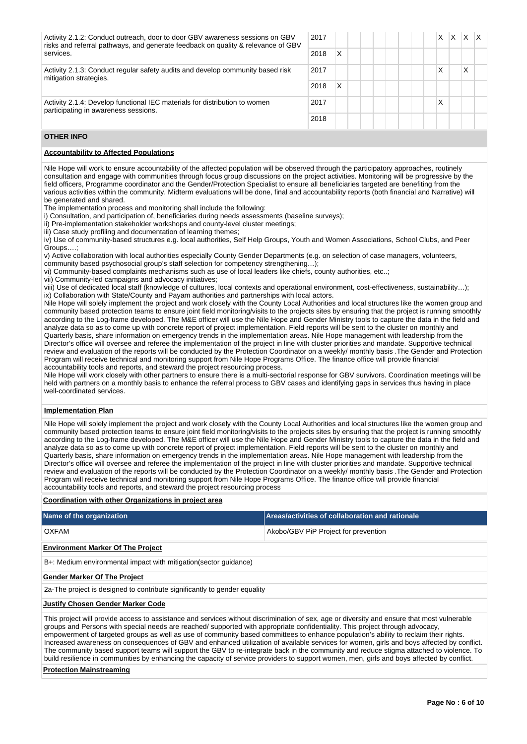| 2017<br>Activity 2.1.2: Conduct outreach, door to door GBV awareness sessions on GBV<br>risks and referral pathways, and generate feedback on quality & relevance of GBV |      |   |  |  |  | X | X | X |  |
|--------------------------------------------------------------------------------------------------------------------------------------------------------------------------|------|---|--|--|--|---|---|---|--|
| services.                                                                                                                                                                | 2018 | x |  |  |  |   |   |   |  |
| 2017<br>Activity 2.1.3: Conduct regular safety audits and develop community based risk<br>mitigation strategies.                                                         |      |   |  |  |  | X |   | Χ |  |
|                                                                                                                                                                          | 2018 | X |  |  |  |   |   |   |  |
| Activity 2.1.4: Develop functional IEC materials for distribution to women<br>2017<br>participating in awareness sessions.<br>2018                                       |      |   |  |  |  | X |   |   |  |
|                                                                                                                                                                          |      |   |  |  |  |   |   |   |  |

# **OTHER INFO**

# **Accountability to Affected Populations**

Nile Hope will work to ensure accountability of the affected population will be observed through the participatory approaches, routinely consultation and engage with communities through focus group discussions on the project activities. Monitoring will be progressive by the field officers, Programme coordinator and the Gender/Protection Specialist to ensure all beneficiaries targeted are benefiting from the various activities within the community. Midterm evaluations will be done, final and accountability reports (both financial and Narrative) will be generated and shared.

The implementation process and monitoring shall include the following:

i) Consultation, and participation of, beneficiaries during needs assessments (baseline surveys);

ii) Pre-implementation stakeholder workshops and county-level cluster meetings;

iii) Case study profiling and documentation of learning themes;

iv) Use of community-based structures e.g. local authorities, Self Help Groups, Youth and Women Associations, School Clubs, and Peer Groups….;

v) Active collaboration with local authorities especially County Gender Departments (e.g. on selection of case managers, volunteers,

community based psychosocial group's staff selection for competency strengthening...);

vi) Community-based complaints mechanisms such as use of local leaders like chiefs, county authorities, etc..;

vii) Community-led campaigns and advocacy initiatives;

viii) Use of dedicated local staff (knowledge of cultures, local contexts and operational environment, cost-effectiveness, sustainability…); ix) Collaboration with State/County and Payam authorities and partnerships with local actors.

Nile Hope will solely implement the project and work closely with the County Local Authorities and local structures like the women group and community based protection teams to ensure joint field monitoring/visits to the projects sites by ensuring that the project is running smoothly according to the Log-frame developed. The M&E officer will use the Nile Hope and Gender Ministry tools to capture the data in the field and analyze data so as to come up with concrete report of project implementation. Field reports will be sent to the cluster on monthly and Quarterly basis, share information on emergency trends in the implementation areas. Nile Hope management with leadership from the Director's office will oversee and referee the implementation of the project in line with cluster priorities and mandate. Supportive technical review and evaluation of the reports will be conducted by the Protection Coordinator on a weekly/ monthly basis .The Gender and Protection Program will receive technical and monitoring support from Nile Hope Programs Office. The finance office will provide financial accountability tools and reports, and steward the project resourcing process.

Nile Hope will work closely with other partners to ensure there is a multi-sectorial response for GBV survivors. Coordination meetings will be held with partners on a monthly basis to enhance the referral process to GBV cases and identifying gaps in services thus having in place well-coordinated services.

# **Implementation Plan**

Nile Hope will solely implement the project and work closely with the County Local Authorities and local structures like the women group and community based protection teams to ensure joint field monitoring/visits to the projects sites by ensuring that the project is running smoothly according to the Log-frame developed. The M&E officer will use the Nile Hope and Gender Ministry tools to capture the data in the field and analyze data so as to come up with concrete report of project implementation. Field reports will be sent to the cluster on monthly and Quarterly basis, share information on emergency trends in the implementation areas. Nile Hope management with leadership from the Director's office will oversee and referee the implementation of the project in line with cluster priorities and mandate. Supportive technical review and evaluation of the reports will be conducted by the Protection Coordinator on a weekly/ monthly basis .The Gender and Protection Program will receive technical and monitoring support from Nile Hope Programs Office. The finance office will provide financial accountability tools and reports, and steward the project resourcing process

#### **Coordination with other Organizations in project area**

| Name of the organization                                                  | Areas/activities of collaboration and rationale |  |  |  |  |  |  |  |  |
|---------------------------------------------------------------------------|-------------------------------------------------|--|--|--|--|--|--|--|--|
| OXFAM                                                                     | Akobo/GBV PiP Project for prevention            |  |  |  |  |  |  |  |  |
| <b>Environment Marker Of The Project</b>                                  |                                                 |  |  |  |  |  |  |  |  |
| B+: Medium environmental impact with mitigation (sector guidance)         |                                                 |  |  |  |  |  |  |  |  |
| <b>Gender Marker Of The Project</b>                                       |                                                 |  |  |  |  |  |  |  |  |
| 2a-The project is designed to contribute significantly to gender equality |                                                 |  |  |  |  |  |  |  |  |
| <b>Justify Chosen Gender Marker Code</b>                                  |                                                 |  |  |  |  |  |  |  |  |

This project will provide access to assistance and services without discrimination of sex, age or diversity and ensure that most vulnerable groups and Persons with special needs are reached/ supported with appropriate confidentiality. This project through advocacy, empowerment of targeted groups as well as use of community based committees to enhance population's ability to reclaim their rights. Increased awareness on consequences of GBV and enhanced utilization of available services for women, girls and boys affected by conflict. The community based support teams will support the GBV to re-integrate back in the community and reduce stigma attached to violence. To build resilience in communities by enhancing the capacity of service providers to support women, men, girls and boys affected by conflict.

#### **Protection Mainstreaming**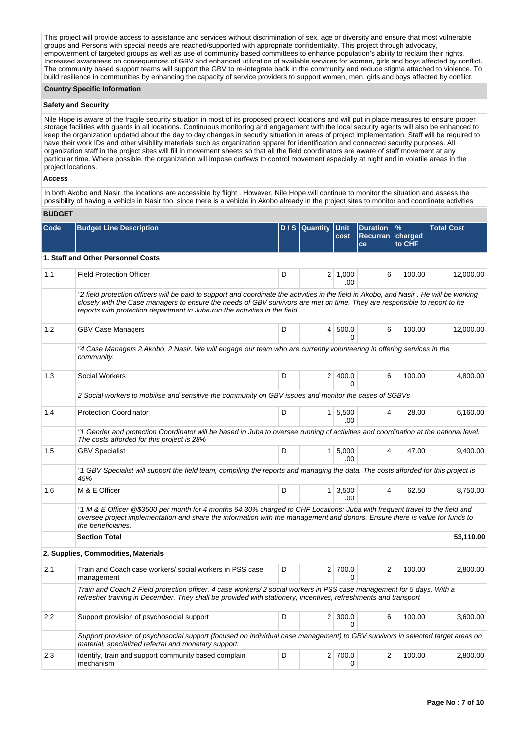This project will provide access to assistance and services without discrimination of sex, age or diversity and ensure that most vulnerable groups and Persons with special needs are reached/supported with appropriate confidentiality. This project through advocacy, empowerment of targeted groups as well as use of community based committees to enhance population's ability to reclaim their rights. Increased awareness on consequences of GBV and enhanced utilization of available services for women, girls and boys affected by conflict. The community based support teams will support the GBV to re-integrate back in the community and reduce stigma attached to violence. To build resilience in communities by enhancing the capacity of service providers to support women, men, girls and boys affected by conflict.

#### **Country Specific Information**

# **Safety and Security**

Nile Hope is aware of the fragile security situation in most of its proposed project locations and will put in place measures to ensure proper storage facilities with guards in all locations. Continuous monitoring and engagement with the local security agents will also be enhanced to keep the organization updated about the day to day changes in security situation in areas of project implementation. Staff will be required to have their work IDs and other visibility materials such as organization apparel for identification and connected security purposes. All organization staff in the project sites will fill in movement sheets so that all the field coordinators are aware of staff movement at any particular time. Where possible, the organization will impose curfews to control movement especially at night and in volatile areas in the project locations.

#### **Access**

In both Akobo and Nasir, the locations are accessible by flight . However, Nile Hope will continue to monitor the situation and assess the possibility of having a vehicle in Nasir too. since there is a vehicle in Akobo already in the project sites to monitor and coordinate activities

|  | <b>BUDGET</b> |
|--|---------------|
|--|---------------|

| Code | <b>Budget Line Description</b>                                                                                                                                                                                                                                                                                                                      |   | D / S Quantity Unit | cost                       | <b>Duration</b><br><b>Recurran</b><br>ce | $\%$<br>charged<br>to CHF | <b>Total Cost</b> |
|------|-----------------------------------------------------------------------------------------------------------------------------------------------------------------------------------------------------------------------------------------------------------------------------------------------------------------------------------------------------|---|---------------------|----------------------------|------------------------------------------|---------------------------|-------------------|
|      | 1. Staff and Other Personnel Costs                                                                                                                                                                                                                                                                                                                  |   |                     |                            |                                          |                           |                   |
| 1.1  | <b>Field Protection Officer</b>                                                                                                                                                                                                                                                                                                                     | D |                     | $2 \mid 1,000$<br>.00      | 6                                        | 100.00                    | 12,000.00         |
|      | "2 field protection officers will be paid to support and coordinate the activities in the field in Akobo, and Nasir . He will be working<br>closely with the Case managers to ensure the needs of GBV survivors are met on time. They are responsible to report to he<br>reports with protection department in Juba.run the activities in the field |   |                     |                            |                                          |                           |                   |
| 1.2  | <b>GBV Case Managers</b>                                                                                                                                                                                                                                                                                                                            | D |                     | 4 500.0<br>$\Omega$        | 6                                        | 100.00                    | 12,000.00         |
|      | "4 Case Managers 2.Akobo, 2 Nasir. We will engage our team who are currently volunteering in offering services in the<br>community.                                                                                                                                                                                                                 |   |                     |                            |                                          |                           |                   |
| 1.3  | Social Workers                                                                                                                                                                                                                                                                                                                                      | D |                     | 2 400.0<br>$\Omega$        | 6                                        | 100.00                    | 4,800.00          |
|      | 2 Social workers to mobilise and sensitive the community on GBV issues and monitor the cases of SGBVs                                                                                                                                                                                                                                               |   |                     |                            |                                          |                           |                   |
| 1.4  | <b>Protection Coordinator</b>                                                                                                                                                                                                                                                                                                                       | D |                     | $1 \, 5,500$<br>.00        | 4                                        | 28.00                     | 6,160.00          |
|      | "1 Gender and protection Coordinator will be based in Juba to oversee running of activities and coordination at the national level.<br>The costs afforded for this project is 28%                                                                                                                                                                   |   |                     |                            |                                          |                           |                   |
| 1.5  | <b>GBV Specialist</b>                                                                                                                                                                                                                                                                                                                               | D |                     | $1 \mid 5,000$<br>.00      | 4                                        | 47.00                     | 9,400.00          |
|      | "1 GBV Specialist will support the field team, compiling the reports and managing the data. The costs afforded for this project is<br>45%                                                                                                                                                                                                           |   |                     |                            |                                          |                           |                   |
| 1.6  | M & E Officer                                                                                                                                                                                                                                                                                                                                       | D |                     | $1 \mid 3,500$<br>.00      | 4                                        | 62.50                     | 8,750.00          |
|      | "1 M & E Officer @\$3500 per month for 4 months 64.30% charged to CHF Locations: Juba with frequent travel to the field and<br>oversee project implementation and share the information with the management and donors. Ensure there is value for funds to<br>the beneficiaries.                                                                    |   |                     |                            |                                          |                           |                   |
|      | <b>Section Total</b>                                                                                                                                                                                                                                                                                                                                |   |                     |                            |                                          |                           | 53,110.00         |
|      | 2. Supplies, Commodities, Materials                                                                                                                                                                                                                                                                                                                 |   |                     |                            |                                          |                           |                   |
| 2.1  | Train and Coach case workers/social workers in PSS case<br>management                                                                                                                                                                                                                                                                               | D |                     | 2 700.0<br>$\Omega$        | 2                                        | 100.00                    | 2,800.00          |
|      | Train and Coach 2 Field protection officer, 4 case workers/2 social workers in PSS case management for 5 days. With a<br>refresher training in December. They shall be provided with stationery, incentives, refreshments and transport                                                                                                             |   |                     |                            |                                          |                           |                   |
| 2.2  | Support provision of psychosocial support                                                                                                                                                                                                                                                                                                           | D |                     | $2 \mid 300.0$<br>$\Omega$ | 6                                        | 100.00                    | 3,600.00          |
|      | Support provision of psychosocial support (focused on individual case management) to GBV survivors in selected target areas on<br>material, specialized referral and monetary support.                                                                                                                                                              |   |                     |                            |                                          |                           |                   |
| 2.3  | Identify, train and support community based complain<br>mechanism                                                                                                                                                                                                                                                                                   | D |                     | 2 700.0<br>0               | 2                                        | 100.00                    | 2,800.00          |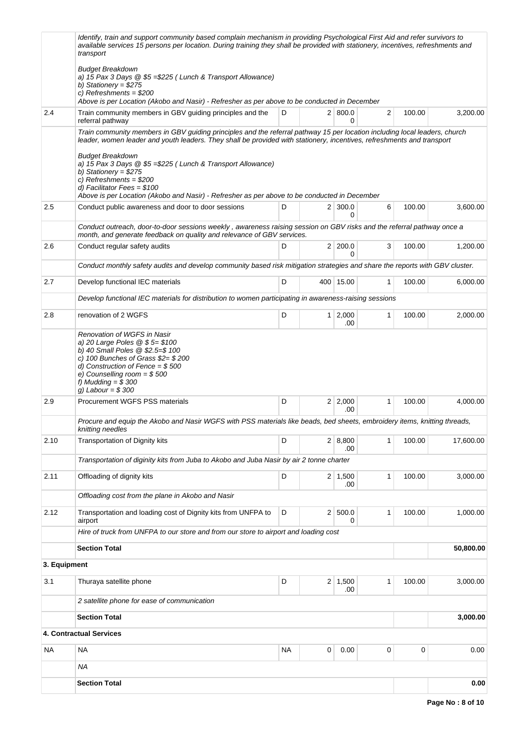|              | Identify, train and support community based complain mechanism in providing Psychological First Aid and refer survivors to<br>available services 15 persons per location. During training they shall be provided with stationery, incentives, refreshments and<br>transport                                                                                                                                                           |           |   |                       |              |        |           |  |  |  |
|--------------|---------------------------------------------------------------------------------------------------------------------------------------------------------------------------------------------------------------------------------------------------------------------------------------------------------------------------------------------------------------------------------------------------------------------------------------|-----------|---|-----------------------|--------------|--------|-----------|--|--|--|
|              | <b>Budget Breakdown</b><br>a) 15 Pax 3 Days @ \$5 = \$225 (Lunch & Transport Allowance)<br>b) Stationery = $$275$<br>c) Refreshments = $$200$<br>Above is per Location (Akobo and Nasir) - Refresher as per above to be conducted in December                                                                                                                                                                                         |           |   |                       |              |        |           |  |  |  |
| 2.4          | Train community members in GBV guiding principles and the<br>referral pathway                                                                                                                                                                                                                                                                                                                                                         | D         |   | 2   800.0<br>0        | 2            | 100.00 | 3,200.00  |  |  |  |
|              | Train community members in GBV guiding principles and the referral pathway 15 per location including local leaders, church<br>leader, women leader and youth leaders. They shall be provided with stationery, incentives, refreshments and transport<br><b>Budget Breakdown</b><br>a) 15 Pax 3 Days @ \$5 = \$225 (Lunch & Transport Allowance)<br>b) Stationery = $$275$<br>c) Refreshments = $$200$<br>d) Facilitator Fees = $$100$ |           |   |                       |              |        |           |  |  |  |
| 2.5          | Above is per Location (Akobo and Nasir) - Refresher as per above to be conducted in December                                                                                                                                                                                                                                                                                                                                          | D         |   | $2 \mid 300.0$        | 6            | 100.00 | 3,600.00  |  |  |  |
|              | Conduct public awareness and door to door sessions                                                                                                                                                                                                                                                                                                                                                                                    |           |   | 0                     |              |        |           |  |  |  |
|              | Conduct outreach, door-to-door sessions weekly, awareness raising session on GBV risks and the referral pathway once a<br>month, and generate feedback on quality and relevance of GBV services.                                                                                                                                                                                                                                      |           |   |                       |              |        |           |  |  |  |
| 2.6          | Conduct regular safety audits                                                                                                                                                                                                                                                                                                                                                                                                         | D         |   | 2 200.0<br>$\Omega$   | 3            | 100.00 | 1,200.00  |  |  |  |
|              | Conduct monthly safety audits and develop community based risk mitigation strategies and share the reports with GBV cluster.                                                                                                                                                                                                                                                                                                          |           |   |                       |              |        |           |  |  |  |
| 2.7          | Develop functional IEC materials                                                                                                                                                                                                                                                                                                                                                                                                      | D         |   | 400 15.00             | 1            | 100.00 | 6,000.00  |  |  |  |
|              | Develop functional IEC materials for distribution to women participating in awareness-raising sessions                                                                                                                                                                                                                                                                                                                                |           |   |                       |              |        |           |  |  |  |
| 2.8          | renovation of 2 WGFS                                                                                                                                                                                                                                                                                                                                                                                                                  | D         |   | $1 \mid 2,000$<br>.00 | 1            | 100.00 | 2,000.00  |  |  |  |
|              | b) 40 Small Poles @ \$2.5=\$ 100<br>c) 100 Bunches of Grass $$2 = $200$<br>d) Construction of Fence = $$500$<br>e) Counselling room = $$500$<br>f) Mudding $= $300$<br>g) Labour = $$300$                                                                                                                                                                                                                                             |           |   |                       |              |        |           |  |  |  |
| 2.9          | Procurement WGFS PSS materials                                                                                                                                                                                                                                                                                                                                                                                                        | D         |   | $2 \mid 2,000$<br>.00 | 1            | 100.00 | 4,000.00  |  |  |  |
|              | Procure and equip the Akobo and Nasir WGFS with PSS materials like beads, bed sheets, embroidery items, knitting threads,<br>knitting needles                                                                                                                                                                                                                                                                                         |           |   |                       |              |        |           |  |  |  |
| 2.10         | <b>Transportation of Dignity kits</b>                                                                                                                                                                                                                                                                                                                                                                                                 | D         |   | 2   8,800<br>.00      | 1            | 100.00 | 17,600.00 |  |  |  |
|              | Transportation of diginity kits from Juba to Akobo and Juba Nasir by air 2 tonne charter                                                                                                                                                                                                                                                                                                                                              |           |   |                       |              |        |           |  |  |  |
| 2.11         | Offloading of dignity kits                                                                                                                                                                                                                                                                                                                                                                                                            | D         |   | $2 \mid 1,500$<br>.00 | $\mathbf{1}$ | 100.00 | 3,000.00  |  |  |  |
|              | Offloading cost from the plane in Akobo and Nasir                                                                                                                                                                                                                                                                                                                                                                                     |           |   |                       |              |        |           |  |  |  |
| 2.12         | Transportation and loading cost of Dignity kits from UNFPA to<br>airport                                                                                                                                                                                                                                                                                                                                                              | D         |   | 2   500.0<br>0        | 1            | 100.00 | 1,000.00  |  |  |  |
|              | Hire of truck from UNFPA to our store and from our store to airport and loading cost                                                                                                                                                                                                                                                                                                                                                  |           |   |                       |              |        |           |  |  |  |
|              | <b>Section Total</b>                                                                                                                                                                                                                                                                                                                                                                                                                  |           |   |                       |              |        | 50,800.00 |  |  |  |
| 3. Equipment |                                                                                                                                                                                                                                                                                                                                                                                                                                       |           |   |                       |              |        |           |  |  |  |
| 3.1          | Thuraya satellite phone                                                                                                                                                                                                                                                                                                                                                                                                               | D         |   | $2 \mid 1,500$<br>.00 | 1            | 100.00 | 3,000.00  |  |  |  |
|              | 2 satellite phone for ease of communication                                                                                                                                                                                                                                                                                                                                                                                           |           |   |                       |              |        |           |  |  |  |
|              | <b>Section Total</b>                                                                                                                                                                                                                                                                                                                                                                                                                  |           |   |                       |              |        | 3,000.00  |  |  |  |
|              | <b>4. Contractual Services</b>                                                                                                                                                                                                                                                                                                                                                                                                        |           |   |                       |              |        |           |  |  |  |
| <b>NA</b>    | <b>NA</b>                                                                                                                                                                                                                                                                                                                                                                                                                             | <b>NA</b> | 0 | 0.00                  | 0            | 0      | 0.00      |  |  |  |
|              | ΝA                                                                                                                                                                                                                                                                                                                                                                                                                                    |           |   |                       |              |        |           |  |  |  |
|              | <b>Section Total</b>                                                                                                                                                                                                                                                                                                                                                                                                                  |           |   |                       |              |        | 0.00      |  |  |  |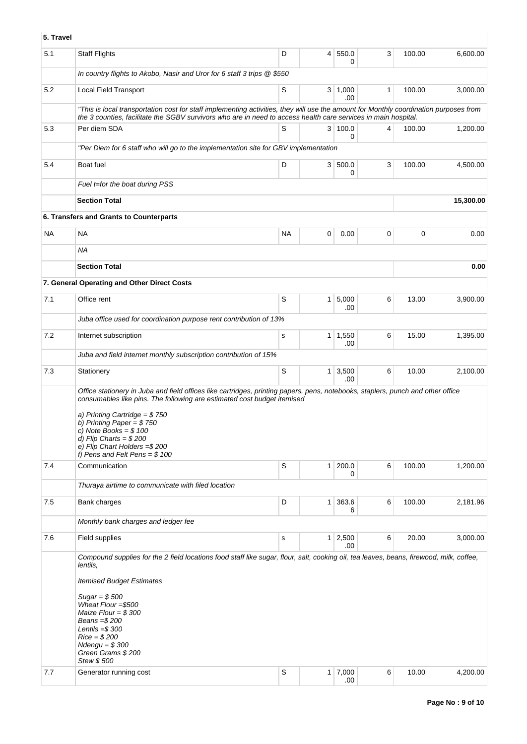| 5. Travel |                                                                                                                                                                                                                                                                                                                                                                                                     |           |                 |                       |              |        |           |  |  |
|-----------|-----------------------------------------------------------------------------------------------------------------------------------------------------------------------------------------------------------------------------------------------------------------------------------------------------------------------------------------------------------------------------------------------------|-----------|-----------------|-----------------------|--------------|--------|-----------|--|--|
| 5.1       | <b>Staff Flights</b>                                                                                                                                                                                                                                                                                                                                                                                | D         | $\vert 4 \vert$ | 550.0<br>0            | 3            | 100.00 | 6,600.00  |  |  |
|           | In country flights to Akobo, Nasir and Uror for 6 staff 3 trips @ \$550                                                                                                                                                                                                                                                                                                                             |           |                 |                       |              |        |           |  |  |
| 5.2       | Local Field Transport                                                                                                                                                                                                                                                                                                                                                                               | S         | 3 <sup>1</sup>  | 1,000<br>.00          | $\mathbf{1}$ | 100.00 | 3,000.00  |  |  |
|           | "This is local transportation cost for staff implementing activities, they will use the amount for Monthly coordination purposes from<br>the 3 counties, facilitate the SGBV survivors who are in need to access health care services in main hospital.                                                                                                                                             |           |                 |                       |              |        |           |  |  |
| 5.3       | Per diem SDA                                                                                                                                                                                                                                                                                                                                                                                        | S         |                 | 3 100.0<br>0          | 4            | 100.00 | 1,200.00  |  |  |
|           | "Per Diem for 6 staff who will go to the implementation site for GBV implementation                                                                                                                                                                                                                                                                                                                 |           |                 |                       |              |        |           |  |  |
| 5.4       | Boat fuel                                                                                                                                                                                                                                                                                                                                                                                           | D         | 3 <sup>1</sup>  | 500.0<br>0            | 3            | 100.00 | 4,500.00  |  |  |
|           | Fuel t=for the boat during PSS                                                                                                                                                                                                                                                                                                                                                                      |           |                 |                       |              |        |           |  |  |
|           | <b>Section Total</b>                                                                                                                                                                                                                                                                                                                                                                                |           |                 |                       |              |        | 15,300.00 |  |  |
|           | 6. Transfers and Grants to Counterparts                                                                                                                                                                                                                                                                                                                                                             |           |                 |                       |              |        |           |  |  |
| NA        | NA                                                                                                                                                                                                                                                                                                                                                                                                  | <b>NA</b> | 0               | 0.00                  | 0            | 0      | 0.00      |  |  |
|           | <b>NA</b>                                                                                                                                                                                                                                                                                                                                                                                           |           |                 |                       |              |        |           |  |  |
|           | <b>Section Total</b>                                                                                                                                                                                                                                                                                                                                                                                |           |                 |                       |              |        | 0.00      |  |  |
|           | 7. General Operating and Other Direct Costs                                                                                                                                                                                                                                                                                                                                                         |           |                 |                       |              |        |           |  |  |
| 7.1       | Office rent                                                                                                                                                                                                                                                                                                                                                                                         | S         |                 | $1 \, 5,000$<br>.00   | 6            | 13.00  | 3,900.00  |  |  |
|           | Juba office used for coordination purpose rent contribution of 13%                                                                                                                                                                                                                                                                                                                                  |           |                 |                       |              |        |           |  |  |
| 7.2       | Internet subscription                                                                                                                                                                                                                                                                                                                                                                               | s         |                 | $1 \mid 1,550$<br>.00 | 6            | 15.00  | 1,395.00  |  |  |
|           | Juba and field internet monthly subscription contribution of 15%                                                                                                                                                                                                                                                                                                                                    |           |                 |                       |              |        |           |  |  |
| 7.3       | Stationery                                                                                                                                                                                                                                                                                                                                                                                          | S         | 1 <sup>1</sup>  | 3,500<br>.00          | 6            | 10.00  | 2,100.00  |  |  |
|           | Office stationery in Juba and field offices like cartridges, printing papers, pens, notebooks, staplers, punch and other office<br>consumables like pins. The following are estimated cost budget itemised<br>a) Printing Cartridge = $$750$<br>b) Printing Paper = $$750$<br>c) Note Books = $$100$<br>d) Flip Charts = $$200$<br>e) Flip Chart Holders = $$200$<br>f) Pens and Felt Pens = $$100$ |           |                 |                       |              |        |           |  |  |
| 7.4       | Communication                                                                                                                                                                                                                                                                                                                                                                                       | S         | 1 <sup>1</sup>  | 200.0<br>0            | 6            | 100.00 | 1,200.00  |  |  |
|           | Thuraya airtime to communicate with filed location                                                                                                                                                                                                                                                                                                                                                  |           |                 |                       |              |        |           |  |  |
| 7.5       | Bank charges                                                                                                                                                                                                                                                                                                                                                                                        | D         | 1 <sup>1</sup>  | 363.6<br>6            | 6            | 100.00 | 2,181.96  |  |  |
|           | Monthly bank charges and ledger fee                                                                                                                                                                                                                                                                                                                                                                 |           |                 |                       |              |        |           |  |  |
| 7.6       | Field supplies                                                                                                                                                                                                                                                                                                                                                                                      | s         |                 | 1 2,500<br>.00        | 6            | 20.00  | 3,000.00  |  |  |
|           | Compound supplies for the 2 field locations food staff like sugar, flour, salt, cooking oil, tea leaves, beans, firewood, milk, coffee,<br>lentils,<br><b>Itemised Budget Estimates</b><br>Sugar = $$500$<br>Wheat Flour = \$500<br>Maize Flour = $$300$<br>Beans = \$200<br>Lentils $= $300$<br>$Rice = $200$<br>$N$ dengu = \$300<br>Green Grams \$200<br>Stew \$500                              |           |                 |                       |              |        |           |  |  |
| 7.7       | Generator running cost                                                                                                                                                                                                                                                                                                                                                                              | S         |                 | $1 \mid 7,000$<br>.00 | 6            | 10.00  | 4,200.00  |  |  |